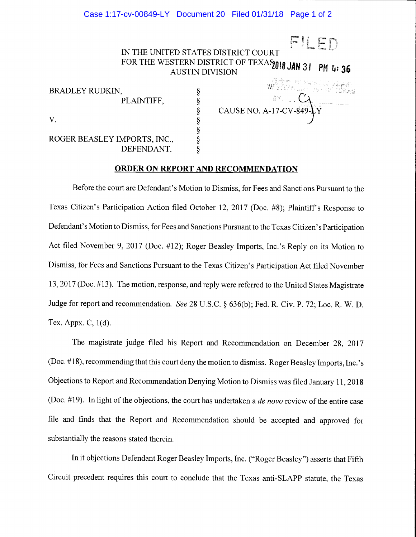## Case 1:17-cv-00849-LY Document 20 Filed 01/31/18 Page 1 of 2

Filippo de la provincia de la provincia de la provincia de la provincia de la provincia de la provincia de la IN THE UNITED STATES DISTRICT COURT FOR THE WESTERN DISTRICT OF TEXASTIC JAN 31 PM 4:36

| <b>BRADLEY RUDKIN,</b>       |  |
|------------------------------|--|
| PLAINTIFF,                   |  |
|                              |  |
|                              |  |
|                              |  |
| ROGER BEASLEY IMPORTS, INC., |  |
| DEFENDANT.                   |  |

 $\S$  CAUSE NO. A-17-CV-849- $\gamma$ 

## ORDER ON REPORT AND RECOMMENDATION

§

Before the court are Defendant's Motion to Dismiss, for Fees and Sanctions Pursuant to the Texas Citizen's Participation Action filed October 12, 2017 (Doe. #8); Plaintiff's Response to Defendant's Motion to Dismiss, for Fees and Sanctions Pursuant to the Texas Citizen's Participation Act filed November 9, 2017 (Doe. #12); Roger Beasley Imports, Inc.'s Reply on its Motion to Dismiss, for Fees and Sanctions Pursuant to the Texas Citizen's Participation Act filed November 13, 2017 (Doe. #13). The motion, response, and reply were referred to the United States Magistrate Judge for report and recommendation. See 28 U.S.C. § 636(b); Fed. R. Civ. P. 72; Loc. R. W. D. Tex. Appx. C, 1(d).

The magistrate judge filed his Report and Recommendation on December 28, 2017 (Doe. #18), recommending that this court deny the motion to dismiss. Roger Beasley Imports, Inc.'s Objections to Report and Recommendation Denying Motion to Dismiss was filed January 11, 2018 (Doc.  $\#19$ ). In light of the objections, the court has undertaken a *de novo* review of the entire case file and finds that the Report and Recommendation should be accepted and approved for substantially the reasons stated therein.

In it objections Defendant Roger Beasley Imports, Inc. ("Roger Beasley") asserts that Fifth Circuit precedent requires this court to conclude that the Texas anti-SLAPP statute, the Texas